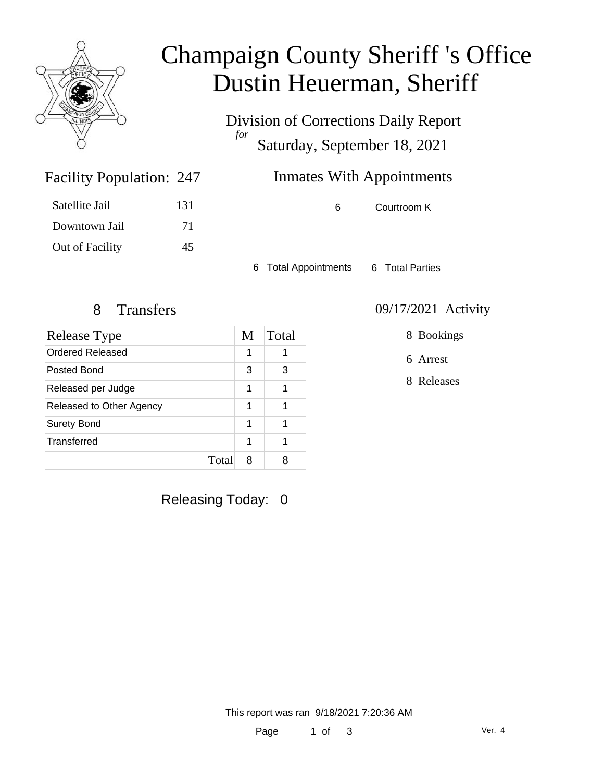

## Champaign County Sheriff 's Office Dustin Heuerman, Sheriff

Division of Corrections Daily Report *for* Saturday, September 18, 2021

### Inmates With Appointments

6 Courtroom K

Satellite Jail 131 Downtown Jail 71 Out of Facility 45

Facility Population: 247

6 Total Appointments 6 Total Parties

| Release Type             | M | Total |
|--------------------------|---|-------|
| <b>Ordered Released</b>  | 1 |       |
| Posted Bond              | 3 | з     |
| Released per Judge       | 1 |       |
| Released to Other Agency | 1 |       |
| <b>Surety Bond</b>       | 1 |       |
| Transferred              | 1 |       |
| Total                    | 8 |       |

Releasing Today: 0

8 Transfers 09/17/2021 Activity

8 Bookings

6 Arrest

8 Releases

This report was ran 9/18/2021 7:20:36 AM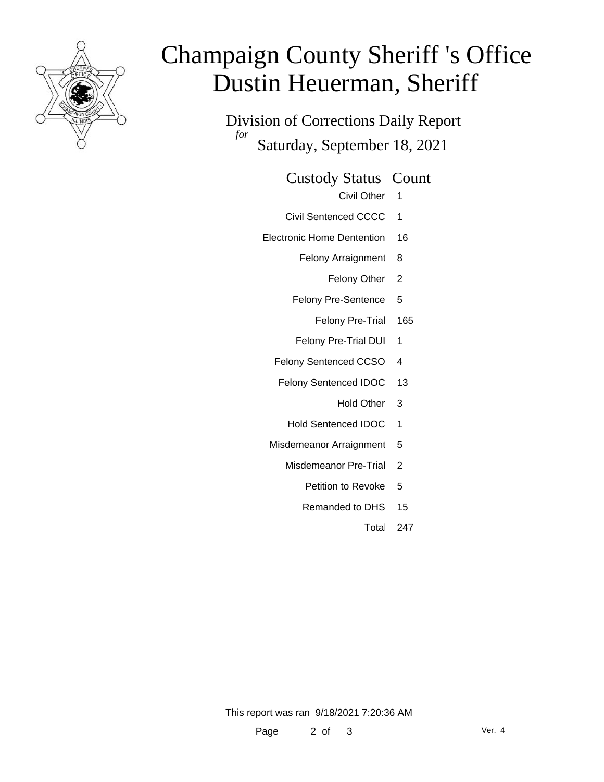

# Champaign County Sheriff 's Office Dustin Heuerman, Sheriff

Division of Corrections Daily Report *for* Saturday, September 18, 2021

Custody Status Count

- Civil Other 1
- Civil Sentenced CCCC 1
- Electronic Home Dentention 16
	- Felony Arraignment 8
		- Felony Other 2
	- Felony Pre-Sentence 5
		- Felony Pre-Trial 165
	- Felony Pre-Trial DUI 1
	- Felony Sentenced CCSO 4
	- Felony Sentenced IDOC 13
		- Hold Other 3
		- Hold Sentenced IDOC 1
	- Misdemeanor Arraignment 5
		- Misdemeanor Pre-Trial 2
			- Petition to Revoke 5
			- Remanded to DHS 15
				- Total 247

This report was ran 9/18/2021 7:20:36 AM